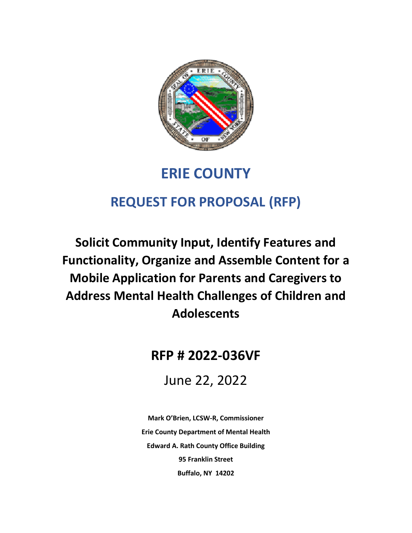

# **ERIE COUNTY**

# **REQUEST FOR PROPOSAL (RFP)**

**Solicit Community Input, Identify Features and Functionality, Organize and Assemble Content for a Mobile Application for Parents and Caregivers to Address Mental Health Challenges of Children and Adolescents**

# **RFP # 2022-036VF**

June 22, 2022

**Mark O'Brien, LCSW-R, Commissioner Erie County Department of Mental Health Edward A. Rath County Office Building 95 Franklin Street Buffalo, NY 14202**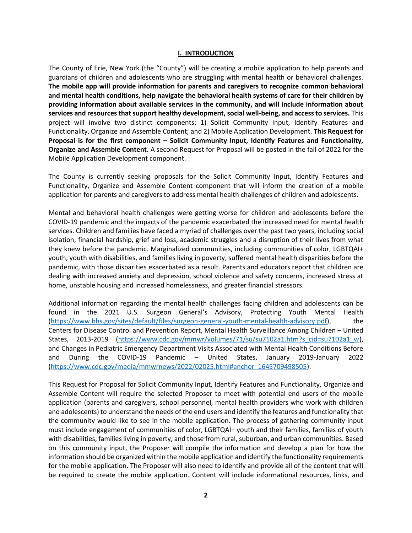#### **I. INTRODUCTION**

The County of Erie, New York (the "County") will be creating a mobile application to help parents and guardians of children and adolescents who are struggling with mental health or behavioral challenges. **The mobile app will provide information for parents and caregivers to recognize common behavioral and mental health conditions, help navigate the behavioral health systems of care for their children by providing information about available services in the community, and will include information about services and resources that support healthy development, social well-being, and access to services.** This project will involve two distinct components: 1) Solicit Community Input, Identify Features and Functionality, Organize and Assemble Content; and 2) Mobile Application Development. **This Request for Proposal is for the first component – Solicit Community Input, Identify Features and Functionality, Organize and Assemble Content.** A second Request for Proposal will be posted in the fall of 2022 for the Mobile Application Development component.

The County is currently seeking proposals for the Solicit Community Input, Identify Features and Functionality, Organize and Assemble Content component that will inform the creation of a mobile application for parents and caregivers to address mental health challenges of children and adolescents.

Mental and behavioral health challenges were getting worse for children and adolescents before the COVID-19 pandemic and the impacts of the pandemic exacerbated the increased need for mental health services. Children and families have faced a myriad of challenges over the past two years, including social isolation, financial hardship, grief and loss, academic struggles and a disruption of their lives from what they knew before the pandemic. Marginalized communities, including communities of color, LGBTQAI+ youth, youth with disabilities, and families living in poverty, suffered mental health disparities before the pandemic, with those disparities exacerbated as a result. Parents and educators report that children are dealing with increased anxiety and depression, school violence and safety concerns, increased stress at home, unstable housing and increased homelessness, and greater financial stressors.

Additional information regarding the mental health challenges facing children and adolescents can be found in the 2021 U.S. Surgeon General's Advisory, Protecting Youth Mental Health [\(https://www.hhs.gov/sites/default/files/surgeon-general-youth-mental-health-advisory.pdf\)](https://www.hhs.gov/sites/default/files/surgeon-general-youth-mental-health-advisory.pdf), the Centers for Disease Control and Prevention Report, Mental Health Surveillance Among Children – United States, 2013-2019 [\(https://www.cdc.gov/mmwr/volumes/71/su/su7102a1.htm?s\\_cid=su7102a1\\_w\)](https://www.cdc.gov/mmwr/volumes/71/su/su7102a1.htm?s_cid=su7102a1_w), and Changes in Pediatric Emergency Department Visits Associated with Mental Health Conditions Before and During the COVID-19 Pandemic – United States, January 2019-January 2022 [\(https://www.cdc.gov/media/mmwrnews/2022/02025.html#anchor\\_1645709498505\)](https://www.cdc.gov/media/mmwrnews/2022/02025.html#anchor_1645709498505).

This Request for Proposal for Solicit Community Input, Identify Features and Functionality, Organize and Assemble Content will require the selected Proposer to meet with potential end users of the mobile application (parents and caregivers, school personnel, mental health providers who work with children and adolescents) to understand the needs of the end users and identify the features and functionality that the community would like to see in the mobile application. The process of gathering community input must include engagement of communities of color, LGBTQAI+ youth and their families, families of youth with disabilities, families living in poverty, and those from rural, suburban, and urban communities. Based on this community input, the Proposer will compile the information and develop a plan for how the information should be organized within the mobile application and identify the functionality requirements for the mobile application. The Proposer will also need to identify and provide all of the content that will be required to create the mobile application. Content will include informational resources, links, and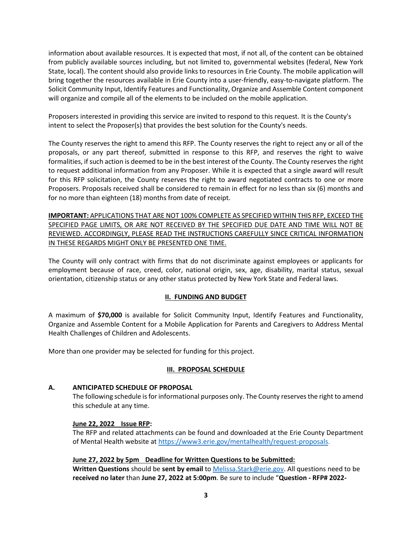information about available resources. It is expected that most, if not all, of the content can be obtained from publicly available sources including, but not limited to, governmental websites (federal, New York State, local). The content should also provide links to resources in Erie County. The mobile application will bring together the resources available in Erie County into a user-friendly, easy-to-navigate platform. The Solicit Community Input, Identify Features and Functionality, Organize and Assemble Content component will organize and compile all of the elements to be included on the mobile application.

Proposers interested in providing this service are invited to respond to this request. It is the County's intent to select the Proposer(s) that provides the best solution for the County's needs.

The County reserves the right to amend this RFP. The County reserves the right to reject any or all of the proposals, or any part thereof, submitted in response to this RFP, and reserves the right to waive formalities, if such action is deemed to be in the best interest of the County. The County reserves the right to request additional information from any Proposer. While it is expected that a single award will result for this RFP solicitation, the County reserves the right to award negotiated contracts to one or more Proposers. Proposals received shall be considered to remain in effect for no less than six (6) months and for no more than eighteen (18) months from date of receipt.

**IMPORTANT:** APPLICATIONS THAT ARE NOT 100% COMPLETE AS SPECIFIED WITHIN THIS RFP, EXCEED THE SPECIFIED PAGE LIMITS, OR ARE NOT RECEIVED BY THE SPECIFIED DUE DATE AND TIME WILL NOT BE REVIEWED. ACCORDINGLY, PLEASE READ THE INSTRUCTIONS CAREFULLY SINCE CRITICAL INFORMATION IN THESE REGARDS MIGHT ONLY BE PRESENTED ONE TIME.

The County will only contract with firms that do not discriminate against employees or applicants for employment because of race, creed, color, national origin, sex, age, disability, marital status, sexual orientation, citizenship status or any other status protected by New York State and Federal laws.

# **II. FUNDING AND BUDGET**

A maximum of **\$70,000** is available for Solicit Community Input, Identify Features and Functionality, Organize and Assemble Content for a Mobile Application for Parents and Caregivers to Address Mental Health Challenges of Children and Adolescents.

More than one provider may be selected for funding for this project.

# **III. PROPOSAL SCHEDULE**

#### **A. ANTICIPATED SCHEDULE OF PROPOSAL**

The following schedule is for informational purposes only. The County reserves the right to amend this schedule at any time.

#### **June 22, 2022 Issue RFP:**

The RFP and related attachments can be found and downloaded at the Erie County Department of Mental Health website at [https://www3.erie.gov/mentalhealth/request-proposals.](https://www3.erie.gov/mentalhealth/request-proposals)

#### **June 27, 2022 by 5pm Deadline for Written Questions to be Submitted:**

**Written Questions** should be **sent by email** t[o Melissa.Stark@erie.gov.](mailto:Melissa.Stark@erie.gov) All questions need to be **received no later** than **June 27, 2022 at 5:00pm**. Be sure to include "**Question - RFP# 2022-**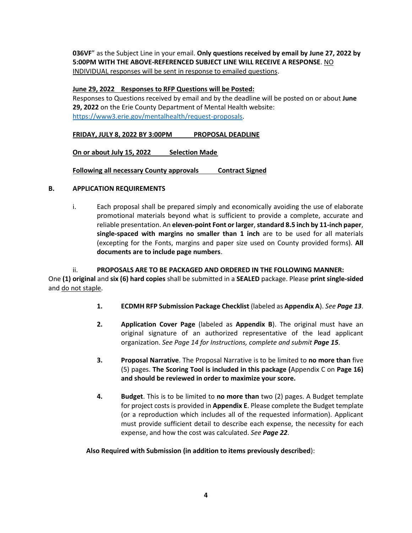**036VF**" as the Subject Line in your email. **Only questions received by email by June 27, 2022 by 5:00PM WITH THE ABOVE-REFERENCED SUBJECT LINE WILL RECEIVE A RESPONSE**. NO INDIVIDUAL responses will be sent in response to emailed questions.

#### **June 29, 2022 Responses to RFP Questions will be Posted:**

Responses to Questions received by email and by the deadline will be posted on or about **June 29, 2022** on the Erie County Department of Mental Health website: [https://www3.erie.gov/mentalhealth/request-proposals.](https://www3.erie.gov/mentalhealth/request-proposals)

**FRIDAY, JULY 8, 2022 BY 3:00PM PROPOSAL DEADLINE**

**On or about July 15, 2022 Selection Made**

**Following all necessary County approvals Contract Signed** 

#### **B. APPLICATION REQUIREMENTS**

i. Each proposal shall be prepared simply and economically avoiding the use of elaborate promotional materials beyond what is sufficient to provide a complete, accurate and reliable presentation. An **eleven-point Font or larger**, **standard 8.5 inch by 11-inch paper**, **single-spaced with margins no smaller than 1 inch** are to be used for all materials (excepting for the Fonts, margins and paper size used on County provided forms). **All documents are to include page numbers**.

# ii. **PROPOSALS ARE TO BE PACKAGED AND ORDERED IN THE FOLLOWING MANNER:**

One **(1) original** and **six (6) hard copies** shall be submitted in a **SEALED** package. Please **print single-sided** and do not staple.

- **1. ECDMH RFP Submission Package Checklist** (labeled as **Appendix A**). *See Page 13*.
- **2. Application Cover Page** (labeled as **Appendix B**). The original must have an original signature of an authorized representative of the lead applicant organization. *See Page 14 for Instructions, complete and submit Page 15*.
- **3. Proposal Narrative**. The Proposal Narrative is to be limited to **no more than** five (5) pages. **The Scoring Tool is included in this package (**Appendix C on **Page 16) and should be reviewed in order to maximize your score.**
- **4. Budget**. This is to be limited to **no more than** two (2) pages. A Budget template for project costs is provided in **Appendix E**. Please complete the Budget template (or a reproduction which includes all of the requested information). Applicant must provide sufficient detail to describe each expense, the necessity for each expense, and how the cost was calculated. *See Page 22*.

#### **Also Required with Submission (in addition to items previously described**):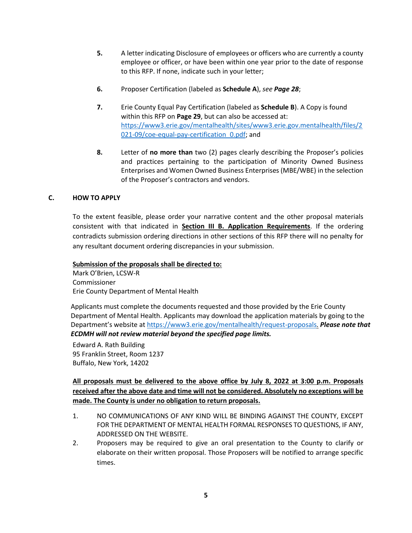- **5.** A letter indicating Disclosure of employees or officers who are currently a county employee or officer, or have been within one year prior to the date of response to this RFP. If none, indicate such in your letter;
- **6.** Proposer Certification (labeled as **Schedule A**), *see Page 28*;
- **7.** Erie County Equal Pay Certification (labeled as **Schedule B**). A Copy is found within this RFP on **Page 29**, but can also be accessed at: [https://www3.erie.gov/mentalhealth/sites/www3.erie.gov.mentalhealth/files/2](https://www3.erie.gov/mentalhealth/sites/www3.erie.gov.mentalhealth/files/2021-09/coe-equal-pay-certification_0.pdf) 021-09/coe-equal-pay-certification 0.pdf; and
- **8.** Letter of **no more than** two (2) pages clearly describing the Proposer's policies and practices pertaining to the participation of Minority Owned Business Enterprises and Women Owned Business Enterprises (MBE/WBE) in the selection of the Proposer's contractors and vendors.

# **C. HOW TO APPLY**

To the extent feasible, please order your narrative content and the other proposal materials consistent with that indicated in **Section III B. Application Requirements**. If the ordering contradicts submission ordering directions in other sections of this RFP there will no penalty for any resultant document ordering discrepancies in your submission.

#### **Submission of the proposals shall be directed to:**

Mark O'Brien, LCSW-R Commissioner Erie County Department of Mental Health

Applicants must complete the documents requested and those provided by the Erie County Department of Mental Health. Applicants may download the application materials by going to the Department's website a[t https://www3.erie.gov/mentalhealth/request-proposals.](https://www3.erie.gov/mentalhealth/request-proposals) *Please note that ECDMH will not review material beyond the specified page limits.*

Edward A. Rath Building 95 Franklin Street, Room 1237 Buffalo, New York, 14202

**All proposals must be delivered to the above office by July 8, 2022 at 3:00 p.m. Proposals received after the above date and time will not be considered. Absolutely no exceptions will be made. The County is under no obligation to return proposals.**

- 1. NO COMMUNICATIONS OF ANY KIND WILL BE BINDING AGAINST THE COUNTY, EXCEPT FOR THE DEPARTMENT OF MENTAL HEALTH FORMAL RESPONSES TO QUESTIONS, IF ANY, ADDRESSED ON THE WEBSITE.
- 2. Proposers may be required to give an oral presentation to the County to clarify or elaborate on their written proposal. Those Proposers will be notified to arrange specific times.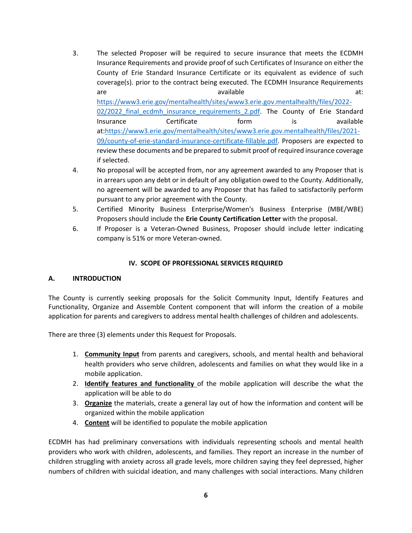- 3. The selected Proposer will be required to secure insurance that meets the ECDMH Insurance Requirements and provide proof of such Certificates of Insurance on either the County of Erie Standard Insurance Certificate or its equivalent as evidence of such coverage(s). prior to the contract being executed. The ECDMH Insurance Requirements are available and available at: [https://www3.erie.gov/mentalhealth/sites/www3.erie.gov.mentalhealth/files/2022-](https://www3.erie.gov/mentalhealth/sites/www3.erie.gov.mentalhealth/files/2022-02/2022_final_ecdmh_insurance_requirements_2.pdf) 02/2022 final ecdmh insurance requirements 2.pdf. The County of Erie Standard Insurance **Certificate** form is available at[:https://www3.erie.gov/mentalhealth/sites/www3.erie.gov.mentalhealth/files/2021-](https://www3.erie.gov/mentalhealth/sites/www3.erie.gov.mentalhealth/files/2021-09/county-of-erie-standard-insurance-certificate-fillable.pdf) [09/county-of-erie-standard-insurance-certificate-fillable.pdf.](https://www3.erie.gov/mentalhealth/sites/www3.erie.gov.mentalhealth/files/2021-09/county-of-erie-standard-insurance-certificate-fillable.pdf) Proposers are expected to review these documents and be prepared to submit proof of required insurance coverage if selected.
- 4. No proposal will be accepted from, nor any agreement awarded to any Proposer that is in arrears upon any debt or in default of any obligation owed to the County. Additionally, no agreement will be awarded to any Proposer that has failed to satisfactorily perform pursuant to any prior agreement with the County.
- 5. Certified Minority Business Enterprise/Women's Business Enterprise (MBE/WBE) Proposers should include the **Erie County Certification Letter** with the proposal.
- 6. If Proposer is a Veteran-Owned Business, Proposer should include letter indicating company is 51% or more Veteran-owned.

#### **IV. SCOPE OF PROFESSIONAL SERVICES REQUIRED**

#### **A. INTRODUCTION**

The County is currently seeking proposals for the Solicit Community Input, Identify Features and Functionality, Organize and Assemble Content component that will inform the creation of a mobile application for parents and caregivers to address mental health challenges of children and adolescents.

There are three (3) elements under this Request for Proposals.

- 1. **Community Input** from parents and caregivers, schools, and mental health and behavioral health providers who serve children, adolescents and families on what they would like in a mobile application.
- 2. **Identify features and functionality** of the mobile application will describe the what the application will be able to do
- 3. **Organize** the materials, create a general lay out of how the information and content will be organized within the mobile application
- 4. **Content** will be identified to populate the mobile application

ECDMH has had preliminary conversations with individuals representing schools and mental health providers who work with children, adolescents, and families. They report an increase in the number of children struggling with anxiety across all grade levels, more children saying they feel depressed, higher numbers of children with suicidal ideation, and many challenges with social interactions. Many children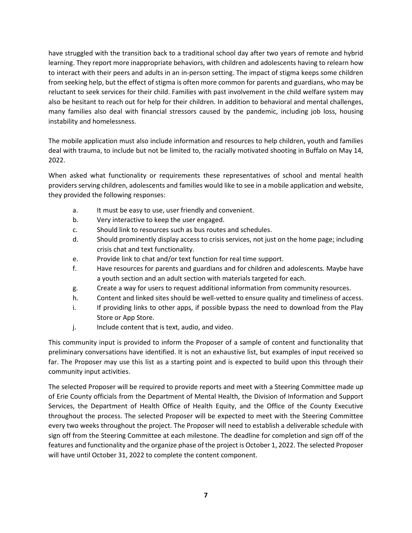have struggled with the transition back to a traditional school day after two years of remote and hybrid learning. They report more inappropriate behaviors, with children and adolescents having to relearn how to interact with their peers and adults in an in-person setting. The impact of stigma keeps some children from seeking help, but the effect of stigma is often more common for parents and guardians, who may be reluctant to seek services for their child. Families with past involvement in the child welfare system may also be hesitant to reach out for help for their children. In addition to behavioral and mental challenges, many families also deal with financial stressors caused by the pandemic, including job loss, housing instability and homelessness.

The mobile application must also include information and resources to help children, youth and families deal with trauma, to include but not be limited to, the racially motivated shooting in Buffalo on May 14, 2022.

When asked what functionality or requirements these representatives of school and mental health providers serving children, adolescents and families would like to see in a mobile application and website, they provided the following responses:

- a. It must be easy to use, user friendly and convenient.
- b. Very interactive to keep the user engaged.
- c. Should link to resources such as bus routes and schedules.
- d. Should prominently display access to crisis services, not just on the home page; including crisis chat and text functionality.
- e. Provide link to chat and/or text function for real time support.
- f. Have resources for parents and guardians and for children and adolescents. Maybe have a youth section and an adult section with materials targeted for each.
- g. Create a way for users to request additional information from community resources.
- h. Content and linked sites should be well-vetted to ensure quality and timeliness of access.
- i. If providing links to other apps, if possible bypass the need to download from the Play Store or App Store.
- j. Include content that is text, audio, and video.

This community input is provided to inform the Proposer of a sample of content and functionality that preliminary conversations have identified. It is not an exhaustive list, but examples of input received so far. The Proposer may use this list as a starting point and is expected to build upon this through their community input activities.

The selected Proposer will be required to provide reports and meet with a Steering Committee made up of Erie County officials from the Department of Mental Health, the Division of Information and Support Services, the Department of Health Office of Health Equity, and the Office of the County Executive throughout the process. The selected Proposer will be expected to meet with the Steering Committee every two weeks throughout the project. The Proposer will need to establish a deliverable schedule with sign off from the Steering Committee at each milestone. The deadline for completion and sign off of the features and functionality and the organize phase of the project is October 1, 2022. The selected Proposer will have until October 31, 2022 to complete the content component.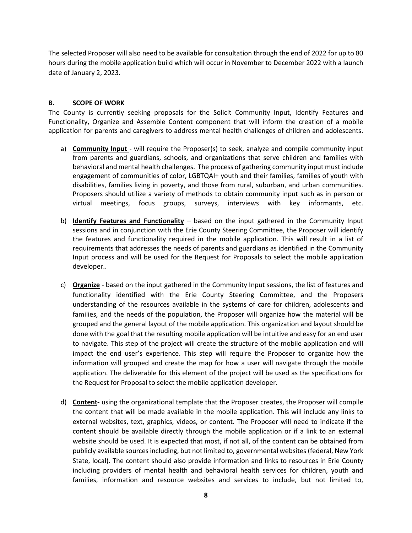The selected Proposer will also need to be available for consultation through the end of 2022 for up to 80 hours during the mobile application build which will occur in November to December 2022 with a launch date of January 2, 2023.

#### **B. SCOPE OF WORK**

The County is currently seeking proposals for the Solicit Community Input, Identify Features and Functionality, Organize and Assemble Content component that will inform the creation of a mobile application for parents and caregivers to address mental health challenges of children and adolescents.

- a) **Community Input**  will require the Proposer(s) to seek, analyze and compile community input from parents and guardians, schools, and organizations that serve children and families with behavioral and mental health challenges. The process of gathering community input must include engagement of communities of color, LGBTQAI+ youth and their families, families of youth with disabilities, families living in poverty, and those from rural, suburban, and urban communities. Proposers should utilize a variety of methods to obtain community input such as in person or virtual meetings, focus groups, surveys, interviews with key informants, etc.
- b) **Identify Features and Functionality** based on the input gathered in the Community Input sessions and in conjunction with the Erie County Steering Committee, the Proposer will identify the features and functionality required in the mobile application. This will result in a list of requirements that addresses the needs of parents and guardians as identified in the Community Input process and will be used for the Request for Proposals to select the mobile application developer..
- c) **Organize** based on the input gathered in the Community Input sessions, the list of features and functionality identified with the Erie County Steering Committee, and the Proposers understanding of the resources available in the systems of care for children, adolescents and families, and the needs of the population, the Proposer will organize how the material will be grouped and the general layout of the mobile application. This organization and layout should be done with the goal that the resulting mobile application will be intuitive and easy for an end user to navigate. This step of the project will create the structure of the mobile application and will impact the end user's experience. This step will require the Proposer to organize how the information will grouped and create the map for how a user will navigate through the mobile application. The deliverable for this element of the project will be used as the specifications for the Request for Proposal to select the mobile application developer.
- d) **Content-** using the organizational template that the Proposer creates, the Proposer will compile the content that will be made available in the mobile application. This will include any links to external websites, text, graphics, videos, or content. The Proposer will need to indicate if the content should be available directly through the mobile application or if a link to an external website should be used. It is expected that most, if not all, of the content can be obtained from publicly available sources including, but not limited to, governmental websites (federal, New York State, local). The content should also provide information and links to resources in Erie County including providers of mental health and behavioral health services for children, youth and families, information and resource websites and services to include, but not limited to,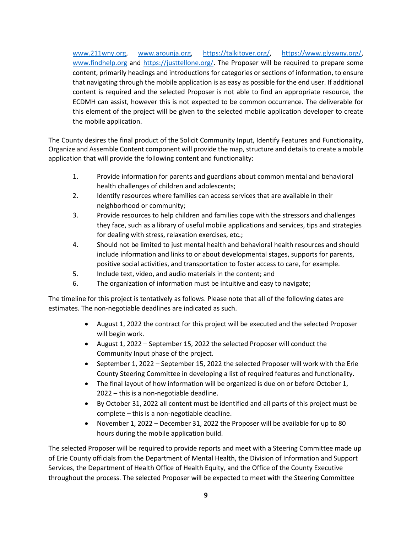[www.211wny.org,](http://www.211wny.org/) [www.arounja.org,](file://///Homedrive.ec.local/brayb/My%20Documents/www.arounja.org) [https://talkitover.org/,](https://talkitover.org/) [https://www.glyswny.org/,](https://www.glyswny.org/) [www.findhelp.org](http://secure-web.cisco.com/1MYgSHbxZaeybgC_8pPEvcxIt4GHy9XvJVvaHANZwN8m2QXvq2kSCTZmLceFS2-dUeEgNacfX7AU2CjGbZv0InBaZgw7M--FQnbXmuojK9kozTzYFzAspaMmx1ve_JdxHGMWWY3CV8JTdafCyl_7vjy3uhXOH1UeaAlsm_Qm-QK9uw1jEMAJUFB6cLQvPjCeUVDynqz-ax9USSkllHOtYYwMQjWQbtqVoqxEw2D-IgTWKgc7ZQFCQwmNSHSLB0JhbT99972iHSiUVbM-wRTlkQD_JilCMv2gkLaI2P7XR3yzFk7tInCG-lcpQ1v6_BtLk/http%3A%2F%2Fwww.findhelp.org) and [https://justtellone.org/.](https://justtellone.org/) The Proposer will be required to prepare some content, primarily headings and introductions for categories or sections of information, to ensure that navigating through the mobile application is as easy as possible for the end user. If additional content is required and the selected Proposer is not able to find an appropriate resource, the ECDMH can assist, however this is not expected to be common occurrence. The deliverable for this element of the project will be given to the selected mobile application developer to create the mobile application.

The County desires the final product of the Solicit Community Input, Identify Features and Functionality, Organize and Assemble Content component will provide the map, structure and details to create a mobile application that will provide the following content and functionality:

- 1. Provide information for parents and guardians about common mental and behavioral health challenges of children and adolescents;
- 2. Identify resources where families can access services that are available in their neighborhood or community;
- 3. Provide resources to help children and families cope with the stressors and challenges they face, such as a library of useful mobile applications and services, tips and strategies for dealing with stress, relaxation exercises, etc.;
- 4. Should not be limited to just mental health and behavioral health resources and should include information and links to or about developmental stages, supports for parents, positive social activities, and transportation to foster access to care, for example.
- 5. Include text, video, and audio materials in the content; and
- 6. The organization of information must be intuitive and easy to navigate;

The timeline for this project is tentatively as follows. Please note that all of the following dates are estimates. The non-negotiable deadlines are indicated as such.

- August 1, 2022 the contract for this project will be executed and the selected Proposer will begin work.
- August 1, 2022 September 15, 2022 the selected Proposer will conduct the Community Input phase of the project.
- September 1, 2022 September 15, 2022 the selected Proposer will work with the Erie County Steering Committee in developing a list of required features and functionality.
- The final layout of how information will be organized is due on or before October 1, 2022 – this is a non-negotiable deadline.
- By October 31, 2022 all content must be identified and all parts of this project must be complete – this is a non-negotiable deadline.
- November 1, 2022 December 31, 2022 the Proposer will be available for up to 80 hours during the mobile application build.

The selected Proposer will be required to provide reports and meet with a Steering Committee made up of Erie County officials from the Department of Mental Health, the Division of Information and Support Services, the Department of Health Office of Health Equity, and the Office of the County Executive throughout the process. The selected Proposer will be expected to meet with the Steering Committee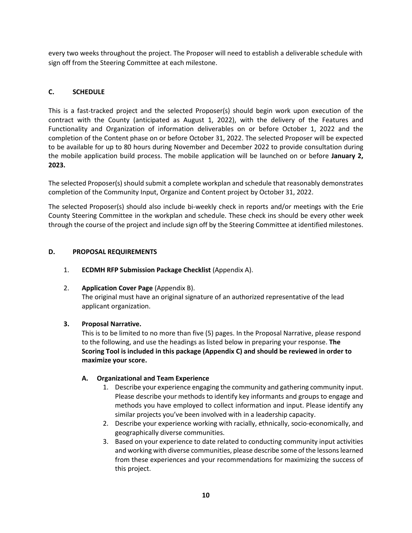every two weeks throughout the project. The Proposer will need to establish a deliverable schedule with sign off from the Steering Committee at each milestone.

# **C. SCHEDULE**

This is a fast-tracked project and the selected Proposer(s) should begin work upon execution of the contract with the County (anticipated as August 1, 2022), with the delivery of the Features and Functionality and Organization of information deliverables on or before October 1, 2022 and the completion of the Content phase on or before October 31, 2022. The selected Proposer will be expected to be available for up to 80 hours during November and December 2022 to provide consultation during the mobile application build process. The mobile application will be launched on or before **January 2, 2023.**

The selected Proposer(s) should submit a complete workplan and schedule that reasonably demonstrates completion of the Community Input, Organize and Content project by October 31, 2022.

The selected Proposer(s) should also include bi-weekly check in reports and/or meetings with the Erie County Steering Committee in the workplan and schedule. These check ins should be every other week through the course of the project and include sign off by the Steering Committee at identified milestones.

#### **D. PROPOSAL REQUIREMENTS**

- 1. **ECDMH RFP Submission Package Checklist** (Appendix A).
- 2. **Application Cover Page** (Appendix B).

The original must have an original signature of an authorized representative of the lead applicant organization.

# **3. Proposal Narrative.**

This is to be limited to no more than five (5) pages. In the Proposal Narrative, please respond to the following, and use the headings as listed below in preparing your response. **The Scoring Tool is included in this package (Appendix C) and should be reviewed in order to maximize your score.**

#### **A. Organizational and Team Experience**

- 1. Describe your experience engaging the community and gathering community input. Please describe your methods to identify key informants and groups to engage and methods you have employed to collect information and input. Please identify any similar projects you've been involved with in a leadership capacity.
- 2. Describe your experience working with racially, ethnically, socio-economically, and geographically diverse communities.
- 3. Based on your experience to date related to conducting community input activities and working with diverse communities, please describe some of the lessons learned from these experiences and your recommendations for maximizing the success of this project.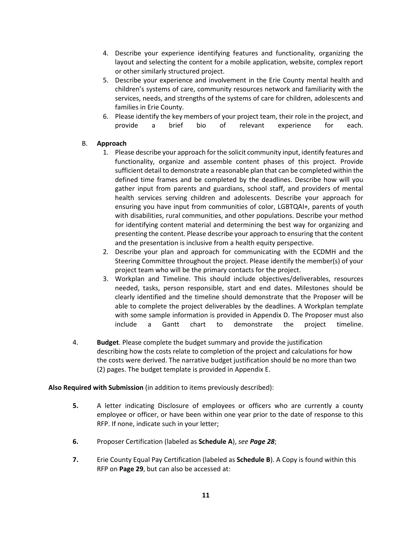- 4. Describe your experience identifying features and functionality, organizing the layout and selecting the content for a mobile application, website, complex report or other similarly structured project.
- 5. Describe your experience and involvement in the Erie County mental health and children's systems of care, community resources network and familiarity with the services, needs, and strengths of the systems of care for children, adolescents and families in Erie County.
- 6. Please identify the key members of your project team, their role in the project, and provide a brief bio of relevant experience for each.

# B. **Approach**

- 1. Please describe your approach forthe solicit community input, identify features and functionality, organize and assemble content phases of this project. Provide sufficient detail to demonstrate a reasonable plan that can be completed within the defined time frames and be completed by the deadlines. Describe how will you gather input from parents and guardians, school staff, and providers of mental health services serving children and adolescents. Describe your approach for ensuring you have input from communities of color, LGBTQAI+, parents of youth with disabilities, rural communities, and other populations. Describe your method for identifying content material and determining the best way for organizing and presenting the content. Please describe your approach to ensuring that the content and the presentation is inclusive from a health equity perspective.
- 2. Describe your plan and approach for communicating with the ECDMH and the Steering Committee throughout the project. Please identify the member(s) of your project team who will be the primary contacts for the project.
- 3. Workplan and Timeline. This should include objectives/deliverables, resources needed, tasks, person responsible, start and end dates. Milestones should be clearly identified and the timeline should demonstrate that the Proposer will be able to complete the project deliverables by the deadlines. A Workplan template with some sample information is provided in Appendix D. The Proposer must also include a Gantt chart to demonstrate the project timeline.
- 4. **Budget**. Please complete the budget summary and provide the justification describing how the costs relate to completion of the project and calculations for how the costs were derived. The narrative budget justification should be no more than two (2) pages. The budget template is provided in Appendix E.

**Also Required with Submission** (in addition to items previously described):

- **5.** A letter indicating Disclosure of employees or officers who are currently a county employee or officer, or have been within one year prior to the date of response to this RFP. If none, indicate such in your letter;
- **6.** Proposer Certification (labeled as **Schedule A**), *see Page 28*;
- **7.** Erie County Equal Pay Certification (labeled as **Schedule B**). A Copy is found within this RFP on **Page 29**, but can also be accessed at: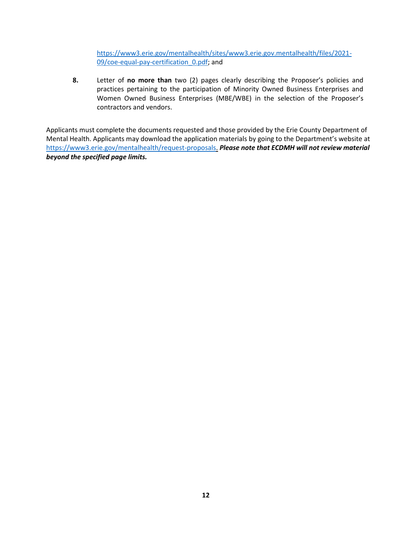[https://www3.erie.gov/mentalhealth/sites/www3.erie.gov.mentalhealth/files/2021-](https://www3.erie.gov/mentalhealth/sites/www3.erie.gov.mentalhealth/files/2021-09/coe-equal-pay-certification_0.pdf) 09/coe-equal-pay-certification 0.pdf; and

**8.** Letter of **no more than** two (2) pages clearly describing the Proposer's policies and practices pertaining to the participation of Minority Owned Business Enterprises and Women Owned Business Enterprises (MBE/WBE) in the selection of the Proposer's contractors and vendors.

Applicants must complete the documents requested and those provided by the Erie County Department of Mental Health. Applicants may download the application materials by going to the Department's website at [https://www3.erie.gov/mentalhealth/request-proposals.](https://www3.erie.gov/mentalhealth/request-proposals) *Please note that ECDMH will not review material beyond the specified page limits.*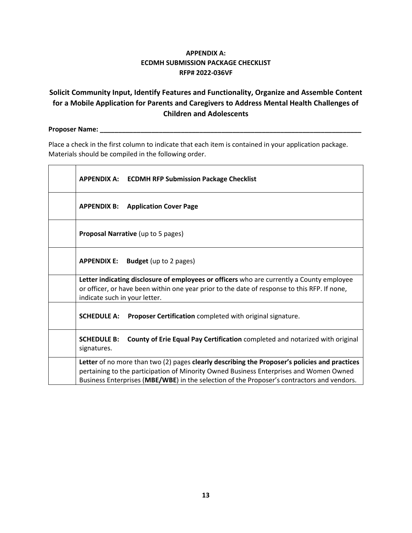# **APPENDIX A: ECDMH SUBMISSION PACKAGE CHECKLIST RFP# 2022-036VF**

# **Solicit Community Input, Identify Features and Functionality, Organize and Assemble Content for a Mobile Application for Parents and Caregivers to Address Mental Health Challenges of Children and Adolescents**

# **Proposer Name: \_\_\_\_\_\_\_\_\_\_\_\_\_\_\_\_\_\_\_\_\_\_\_\_\_\_\_\_\_\_\_\_\_\_\_\_\_\_\_\_\_\_\_\_\_\_\_\_\_\_\_\_\_\_\_\_\_\_\_\_\_\_\_\_\_\_\_\_\_\_\_**

Place a check in the first column to indicate that each item is contained in your application package. Materials should be compiled in the following order.

| <b>APPENDIX A: ECDMH RFP Submission Package Checklist</b>                                                                                                                                                                                                                             |
|---------------------------------------------------------------------------------------------------------------------------------------------------------------------------------------------------------------------------------------------------------------------------------------|
| <b>APPENDIX B:</b><br><b>Application Cover Page</b>                                                                                                                                                                                                                                   |
| <b>Proposal Narrative</b> (up to 5 pages)                                                                                                                                                                                                                                             |
| <b>Budget</b> (up to 2 pages)<br><b>APPENDIX E:</b>                                                                                                                                                                                                                                   |
| Letter indicating disclosure of employees or officers who are currently a County employee<br>or officer, or have been within one year prior to the date of response to this RFP. If none,<br>indicate such in your letter.                                                            |
| <b>SCHEDULE A:</b><br><b>Proposer Certification</b> completed with original signature.                                                                                                                                                                                                |
| County of Erie Equal Pay Certification completed and notarized with original<br><b>SCHEDULE B:</b><br>signatures.                                                                                                                                                                     |
| Letter of no more than two (2) pages clearly describing the Proposer's policies and practices<br>pertaining to the participation of Minority Owned Business Enterprises and Women Owned<br>Business Enterprises (MBE/WBE) in the selection of the Proposer's contractors and vendors. |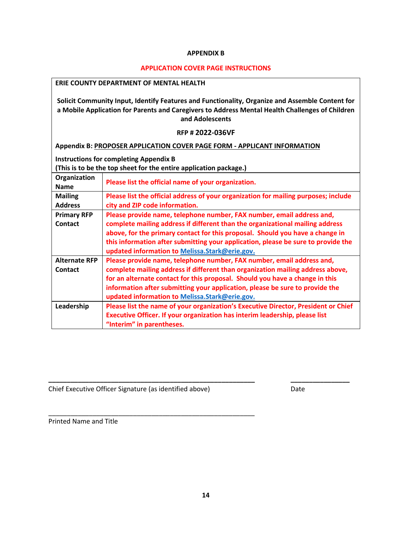#### **APPENDIX B**

#### **APPLICATION COVER PAGE INSTRUCTIONS**

| <b>ERIE COUNTY DEPARTMENT OF MENTAL HEALTH</b>                                                                                                                                                                        |                                                                                                                                     |  |  |  |
|-----------------------------------------------------------------------------------------------------------------------------------------------------------------------------------------------------------------------|-------------------------------------------------------------------------------------------------------------------------------------|--|--|--|
| Solicit Community Input, Identify Features and Functionality, Organize and Assemble Content for<br>a Mobile Application for Parents and Caregivers to Address Mental Health Challenges of Children<br>and Adolescents |                                                                                                                                     |  |  |  |
|                                                                                                                                                                                                                       | <b>RFP #2022-036VF</b>                                                                                                              |  |  |  |
|                                                                                                                                                                                                                       | Appendix B: PROPOSER APPLICATION COVER PAGE FORM - APPLICANT INFORMATION                                                            |  |  |  |
|                                                                                                                                                                                                                       | <b>Instructions for completing Appendix B</b>                                                                                       |  |  |  |
|                                                                                                                                                                                                                       | (This is to be the top sheet for the entire application package.)                                                                   |  |  |  |
| Organization<br><b>Name</b>                                                                                                                                                                                           | Please list the official name of your organization.                                                                                 |  |  |  |
| <b>Mailing</b>                                                                                                                                                                                                        | Please list the official address of your organization for mailing purposes; include                                                 |  |  |  |
| <b>Address</b>                                                                                                                                                                                                        | city and ZIP code information.                                                                                                      |  |  |  |
| <b>Primary RFP</b>                                                                                                                                                                                                    | Please provide name, telephone number, FAX number, email address and,                                                               |  |  |  |
| <b>Contact</b>                                                                                                                                                                                                        | complete mailing address if different than the organizational mailing address                                                       |  |  |  |
|                                                                                                                                                                                                                       | above, for the primary contact for this proposal. Should you have a change in                                                       |  |  |  |
|                                                                                                                                                                                                                       | this information after submitting your application, please be sure to provide the<br>updated information to Melissa.Stark@erie.gov. |  |  |  |
| <b>Alternate RFP</b>                                                                                                                                                                                                  | Please provide name, telephone number, FAX number, email address and,                                                               |  |  |  |
| Contact                                                                                                                                                                                                               | complete mailing address if different than organization mailing address above,                                                      |  |  |  |
|                                                                                                                                                                                                                       | for an alternate contact for this proposal. Should you have a change in this                                                        |  |  |  |
|                                                                                                                                                                                                                       | information after submitting your application, please be sure to provide the                                                        |  |  |  |
|                                                                                                                                                                                                                       | updated information to Melissa.Stark@erie.gov.                                                                                      |  |  |  |
| Leadership                                                                                                                                                                                                            | Please list the name of your organization's Executive Director, President or Chief                                                  |  |  |  |
|                                                                                                                                                                                                                       | Executive Officer. If your organization has interim leadership, please list                                                         |  |  |  |
|                                                                                                                                                                                                                       | "Interim" in parentheses.                                                                                                           |  |  |  |

Chief Executive Officer Signature (as identified above) Date

\_\_\_\_\_\_\_\_\_\_\_\_\_\_\_\_\_\_\_\_\_\_\_\_\_\_\_\_\_\_\_\_\_\_\_\_\_\_\_\_\_\_\_\_\_\_\_\_\_\_\_\_\_\_\_\_

Printed Name and Title

**\_\_\_\_\_\_\_\_\_\_\_\_\_\_\_\_\_\_\_\_\_\_\_\_\_\_\_\_\_\_\_\_\_\_\_\_\_\_\_\_\_\_\_\_\_\_\_\_\_\_\_\_\_\_\_\_ \_\_\_\_\_\_\_\_\_\_\_\_\_\_\_\_**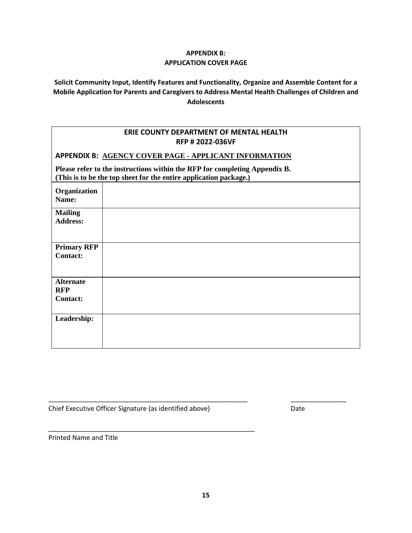# **APPENDIX B: APPLICATION COVER PAGE**

**Solicit Community Input, Identify Features and Functionality, Organize and Assemble Content for a Mobile Application for Parents and Caregivers to Address Mental Health Challenges of Children and Adolescents**

### **ERIE COUNTY DEPARTMENT OF MENTAL HEALTH RFP # 2022-036VF**

**APPENDIX B: AGENCY COVER PAGE - APPLICANT INFORMATION** 

**Please refer to the instructions within the RFP for completing Appendix B. (This is to be the top sheet for the entire application package.)**

| Organization<br>Name:                             |  |
|---------------------------------------------------|--|
| <b>Mailing</b><br><b>Address:</b>                 |  |
| <b>Primary RFP</b><br><b>Contact:</b>             |  |
| <b>Alternate</b><br><b>RFP</b><br><b>Contact:</b> |  |
| Leadership:                                       |  |

Chief Executive Officer Signature (as identified above) Date

\_\_\_\_\_\_\_\_\_\_\_\_\_\_\_\_\_\_\_\_\_\_\_\_\_\_\_\_\_\_\_\_\_\_\_\_\_\_\_\_\_\_\_\_\_\_\_\_\_\_\_\_\_\_\_\_

Printed Name and Title

\_\_\_\_\_\_\_\_\_\_\_\_\_\_\_\_\_\_\_\_\_\_\_\_\_\_\_\_\_\_\_\_\_\_\_\_\_\_\_\_\_\_\_\_\_\_\_\_\_\_\_\_\_\_ \_\_\_\_\_\_\_\_\_\_\_\_\_\_\_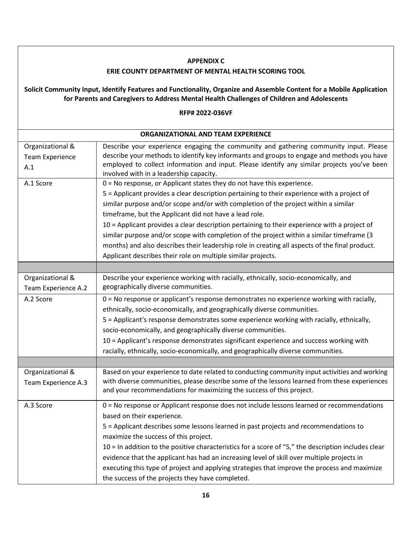| <b>APPENDIX C</b>                       |                                                                                                                                                                                                                    |  |  |  |
|-----------------------------------------|--------------------------------------------------------------------------------------------------------------------------------------------------------------------------------------------------------------------|--|--|--|
|                                         | <b>ERIE COUNTY DEPARTMENT OF MENTAL HEALTH SCORING TOOL</b>                                                                                                                                                        |  |  |  |
|                                         | Solicit Community Input, Identify Features and Functionality, Organize and Assemble Content for a Mobile Application<br>for Parents and Caregivers to Address Mental Health Challenges of Children and Adolescents |  |  |  |
|                                         | RFP# 2022-036VF                                                                                                                                                                                                    |  |  |  |
|                                         | <b>ORGANIZATIONAL AND TEAM EXPERIENCE</b>                                                                                                                                                                          |  |  |  |
| Organizational &                        | Describe your experience engaging the community and gathering community input. Please                                                                                                                              |  |  |  |
| <b>Team Experience</b>                  | describe your methods to identify key informants and groups to engage and methods you have                                                                                                                         |  |  |  |
| A.1                                     | employed to collect information and input. Please identify any similar projects you've been<br>involved with in a leadership capacity.                                                                             |  |  |  |
| A.1 Score                               | 0 = No response, or Applicant states they do not have this experience.                                                                                                                                             |  |  |  |
|                                         | 5 = Applicant provides a clear description pertaining to their experience with a project of                                                                                                                        |  |  |  |
|                                         | similar purpose and/or scope and/or with completion of the project within a similar                                                                                                                                |  |  |  |
|                                         | timeframe, but the Applicant did not have a lead role.                                                                                                                                                             |  |  |  |
|                                         | 10 = Applicant provides a clear description pertaining to their experience with a project of                                                                                                                       |  |  |  |
|                                         | similar purpose and/or scope with completion of the project within a similar timeframe (3                                                                                                                          |  |  |  |
|                                         | months) and also describes their leadership role in creating all aspects of the final product.                                                                                                                     |  |  |  |
|                                         | Applicant describes their role on multiple similar projects.                                                                                                                                                       |  |  |  |
|                                         |                                                                                                                                                                                                                    |  |  |  |
| Organizational &<br>Team Experience A.2 | Describe your experience working with racially, ethnically, socio-economically, and<br>geographically diverse communities.                                                                                         |  |  |  |
| A.2 Score                               | 0 = No response or applicant's response demonstrates no experience working with racially,                                                                                                                          |  |  |  |
|                                         | ethnically, socio-economically, and geographically diverse communities.                                                                                                                                            |  |  |  |
|                                         | 5 = Applicant's response demonstrates some experience working with racially, ethnically,                                                                                                                           |  |  |  |
|                                         | socio-economically, and geographically diverse communities.                                                                                                                                                        |  |  |  |
|                                         | 10 = Applicant's response demonstrates significant experience and success working with                                                                                                                             |  |  |  |
|                                         | racially, ethnically, socio-economically, and geographically diverse communities.                                                                                                                                  |  |  |  |
|                                         |                                                                                                                                                                                                                    |  |  |  |
| Organizational &                        | Based on your experience to date related to conducting community input activities and working                                                                                                                      |  |  |  |
| Team Experience A.3                     | with diverse communities, please describe some of the lessons learned from these experiences<br>and your recommendations for maximizing the success of this project.                                               |  |  |  |
| A.3 Score                               | 0 = No response or Applicant response does not include lessons learned or recommendations                                                                                                                          |  |  |  |
|                                         | based on their experience.                                                                                                                                                                                         |  |  |  |
|                                         | 5 = Applicant describes some lessons learned in past projects and recommendations to                                                                                                                               |  |  |  |
|                                         | maximize the success of this project.                                                                                                                                                                              |  |  |  |
|                                         | $10$ = In addition to the positive characteristics for a score of "5," the description includes clear                                                                                                              |  |  |  |
|                                         | evidence that the applicant has had an increasing level of skill over multiple projects in                                                                                                                         |  |  |  |
|                                         | executing this type of project and applying strategies that improve the process and maximize                                                                                                                       |  |  |  |
|                                         | the success of the projects they have completed.                                                                                                                                                                   |  |  |  |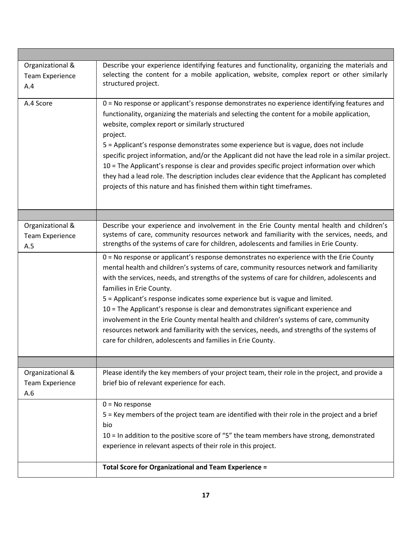| Organizational &<br><b>Team Experience</b><br>A.4 | Describe your experience identifying features and functionality, organizing the materials and<br>selecting the content for a mobile application, website, complex report or other similarly<br>structured project.                                                                                                                                                                                                                                                                                                                                                                                                                                                                                                                             |
|---------------------------------------------------|------------------------------------------------------------------------------------------------------------------------------------------------------------------------------------------------------------------------------------------------------------------------------------------------------------------------------------------------------------------------------------------------------------------------------------------------------------------------------------------------------------------------------------------------------------------------------------------------------------------------------------------------------------------------------------------------------------------------------------------------|
| A.4 Score                                         | 0 = No response or applicant's response demonstrates no experience identifying features and<br>functionality, organizing the materials and selecting the content for a mobile application,<br>website, complex report or similarly structured<br>project.<br>5 = Applicant's response demonstrates some experience but is vague, does not include<br>specific project information, and/or the Applicant did not have the lead role in a similar project.<br>10 = The Applicant's response is clear and provides specific project information over which<br>they had a lead role. The description includes clear evidence that the Applicant has completed<br>projects of this nature and has finished them within tight timeframes.            |
|                                                   |                                                                                                                                                                                                                                                                                                                                                                                                                                                                                                                                                                                                                                                                                                                                                |
| Organizational &<br><b>Team Experience</b><br>A.5 | Describe your experience and involvement in the Erie County mental health and children's<br>systems of care, community resources network and familiarity with the services, needs, and<br>strengths of the systems of care for children, adolescents and families in Erie County.                                                                                                                                                                                                                                                                                                                                                                                                                                                              |
|                                                   | 0 = No response or applicant's response demonstrates no experience with the Erie County<br>mental health and children's systems of care, community resources network and familiarity<br>with the services, needs, and strengths of the systems of care for children, adolescents and<br>families in Erie County.<br>5 = Applicant's response indicates some experience but is vague and limited.<br>10 = The Applicant's response is clear and demonstrates significant experience and<br>involvement in the Erie County mental health and children's systems of care, community<br>resources network and familiarity with the services, needs, and strengths of the systems of<br>care for children, adolescents and families in Erie County. |
|                                                   |                                                                                                                                                                                                                                                                                                                                                                                                                                                                                                                                                                                                                                                                                                                                                |
| Organizational &<br><b>Team Experience</b><br>A.6 | Please identify the key members of your project team, their role in the project, and provide a<br>brief bio of relevant experience for each.                                                                                                                                                                                                                                                                                                                                                                                                                                                                                                                                                                                                   |
|                                                   | $0 = No$ response<br>5 = Key members of the project team are identified with their role in the project and a brief<br>bio<br>10 = In addition to the positive score of "5" the team members have strong, demonstrated<br>experience in relevant aspects of their role in this project.<br><b>Total Score for Organizational and Team Experience =</b>                                                                                                                                                                                                                                                                                                                                                                                          |
|                                                   |                                                                                                                                                                                                                                                                                                                                                                                                                                                                                                                                                                                                                                                                                                                                                |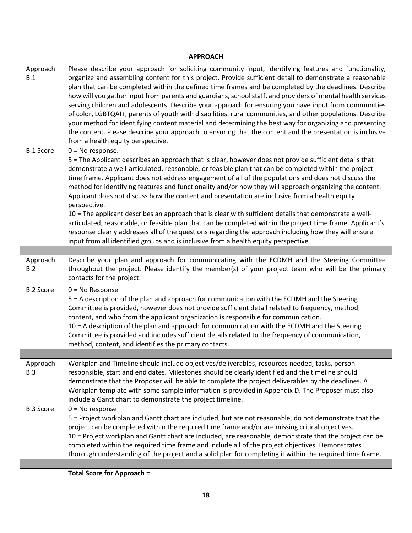| <b>APPROACH</b>  |                                                                                                                                                                                                                                                                                                                                                                                                                                                                                                                                                                                                                                                                                                                                                                                                                                                                                                                                                                                                      |  |  |
|------------------|------------------------------------------------------------------------------------------------------------------------------------------------------------------------------------------------------------------------------------------------------------------------------------------------------------------------------------------------------------------------------------------------------------------------------------------------------------------------------------------------------------------------------------------------------------------------------------------------------------------------------------------------------------------------------------------------------------------------------------------------------------------------------------------------------------------------------------------------------------------------------------------------------------------------------------------------------------------------------------------------------|--|--|
| Approach<br>B.1  | Please describe your approach for soliciting community input, identifying features and functionality,<br>organize and assembling content for this project. Provide sufficient detail to demonstrate a reasonable<br>plan that can be completed within the defined time frames and be completed by the deadlines. Describe<br>how will you gather input from parents and guardians, school staff, and providers of mental health services<br>serving children and adolescents. Describe your approach for ensuring you have input from communities<br>of color, LGBTQAI+, parents of youth with disabilities, rural communities, and other populations. Describe<br>your method for identifying content material and determining the best way for organizing and presenting<br>the content. Please describe your approach to ensuring that the content and the presentation is inclusive<br>from a health equity perspective.                                                                         |  |  |
| <b>B.1 Score</b> | $0 = No$ response.<br>5 = The Applicant describes an approach that is clear, however does not provide sufficient details that<br>demonstrate a well-articulated, reasonable, or feasible plan that can be completed within the project<br>time frame. Applicant does not address engagement of all of the populations and does not discuss the<br>method for identifying features and functionality and/or how they will approach organizing the content.<br>Applicant does not discuss how the content and presentation are inclusive from a health equity<br>perspective.<br>10 = The applicant describes an approach that is clear with sufficient details that demonstrate a well-<br>articulated, reasonable, or feasible plan that can be completed within the project time frame. Applicant's<br>response clearly addresses all of the questions regarding the approach including how they will ensure<br>input from all identified groups and is inclusive from a health equity perspective. |  |  |
|                  |                                                                                                                                                                                                                                                                                                                                                                                                                                                                                                                                                                                                                                                                                                                                                                                                                                                                                                                                                                                                      |  |  |
| Approach<br>B.2  | Describe your plan and approach for communicating with the ECDMH and the Steering Committee<br>throughout the project. Please identify the member(s) of your project team who will be the primary<br>contacts for the project.                                                                                                                                                                                                                                                                                                                                                                                                                                                                                                                                                                                                                                                                                                                                                                       |  |  |
| <b>B.2 Score</b> | $0 = No$ Response<br>5 = A description of the plan and approach for communication with the ECDMH and the Steering<br>Committee is provided, however does not provide sufficient detail related to frequency, method,<br>content, and who from the applicant organization is responsible for communication.<br>10 = A description of the plan and approach for communication with the ECDMH and the Steering<br>Committee is provided and includes sufficient details related to the frequency of communication,<br>method, content, and identifies the primary contacts.                                                                                                                                                                                                                                                                                                                                                                                                                             |  |  |
|                  |                                                                                                                                                                                                                                                                                                                                                                                                                                                                                                                                                                                                                                                                                                                                                                                                                                                                                                                                                                                                      |  |  |
| Approach<br>B.3  | Workplan and Timeline should include objectives/deliverables, resources needed, tasks, person<br>responsible, start and end dates. Milestones should be clearly identified and the timeline should<br>demonstrate that the Proposer will be able to complete the project deliverables by the deadlines. A<br>Workplan template with some sample information is provided in Appendix D. The Proposer must also<br>include a Gantt chart to demonstrate the project timeline.                                                                                                                                                                                                                                                                                                                                                                                                                                                                                                                          |  |  |
| <b>B.3 Score</b> | $0 = No$ response<br>5 = Project workplan and Gantt chart are included, but are not reasonable, do not demonstrate that the<br>project can be completed within the required time frame and/or are missing critical objectives.<br>10 = Project workplan and Gantt chart are included, are reasonable, demonstrate that the project can be<br>completed within the required time frame and include all of the project objectives. Demonstrates<br>thorough understanding of the project and a solid plan for completing it within the required time frame.                                                                                                                                                                                                                                                                                                                                                                                                                                            |  |  |
|                  | <b>Total Score for Approach =</b>                                                                                                                                                                                                                                                                                                                                                                                                                                                                                                                                                                                                                                                                                                                                                                                                                                                                                                                                                                    |  |  |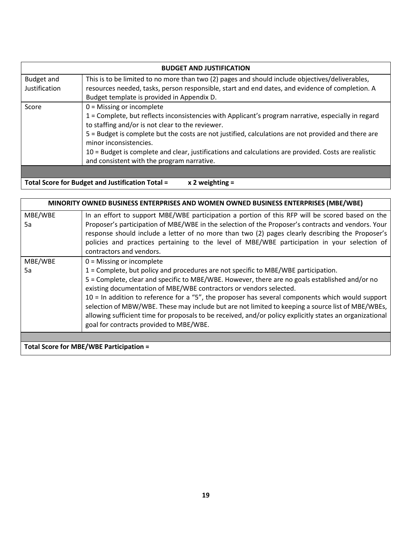| <b>BUDGET AND JUSTIFICATION</b> |                                                                                                                                                                                                                                                                                                                                                                                                                                                                               |  |  |
|---------------------------------|-------------------------------------------------------------------------------------------------------------------------------------------------------------------------------------------------------------------------------------------------------------------------------------------------------------------------------------------------------------------------------------------------------------------------------------------------------------------------------|--|--|
| Budget and<br>Justification     | This is to be limited to no more than two (2) pages and should include objectives/deliverables,<br>resources needed, tasks, person responsible, start and end dates, and evidence of completion. A<br>Budget template is provided in Appendix D.                                                                                                                                                                                                                              |  |  |
| Score                           | $0 =$ Missing or incomplete<br>1 = Complete, but reflects inconsistencies with Applicant's program narrative, especially in regard<br>to staffing and/or is not clear to the reviewer.<br>5 = Budget is complete but the costs are not justified, calculations are not provided and there are<br>minor inconsistencies.<br>10 = Budget is complete and clear, justifications and calculations are provided. Costs are realistic<br>and consistent with the program narrative. |  |  |

**Total Score for Budget and Justification Total = x 2 weighting =** 

|         | MINORITY OWNED BUSINESS ENTERPRISES AND WOMEN OWNED BUSINESS ENTERPRISES (MBE/WBE)                       |
|---------|----------------------------------------------------------------------------------------------------------|
| MBE/WBE | In an effort to support MBE/WBE participation a portion of this RFP will be scored based on the          |
| 5a      | Proposer's participation of MBE/WBE in the selection of the Proposer's contracts and vendors. Your       |
|         | response should include a letter of no more than two (2) pages clearly describing the Proposer's         |
|         | policies and practices pertaining to the level of MBE/WBE participation in your selection of             |
|         | contractors and vendors.                                                                                 |
| MBE/WBE | $0 =$ Missing or incomplete                                                                              |
| 5a      | 1 = Complete, but policy and procedures are not specific to MBE/WBE participation.                       |
|         | 5 = Complete, clear and specific to MBE/WBE. However, there are no goals established and/or no           |
|         | existing documentation of MBE/WBE contractors or vendors selected.                                       |
|         | $10$ = In addition to reference for a "5", the proposer has several components which would support       |
|         | selection of MBW/WBE. These may include but are not limited to keeping a source list of MBE/WBEs,        |
|         | allowing sufficient time for proposals to be received, and/or policy explicitly states an organizational |
|         | goal for contracts provided to MBE/WBE.                                                                  |
|         |                                                                                                          |
|         | Total Score for MBE/WBE Participation =                                                                  |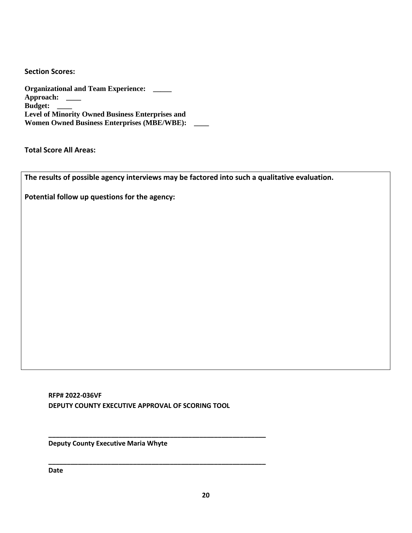**Section Scores:** 

**Organizational and Team Experience: \_\_\_\_\_ Approach: \_\_\_\_ Budget: \_\_\_\_ Level of Minority Owned Business Enterprises and Women Owned Business Enterprises (MBE/WBE): \_\_\_\_**

**Total Score All Areas:**

**The results of possible agency interviews may be factored into such a qualitative evaluation.** 

**Potential follow up questions for the agency:**

**RFP# 2022-036VF DEPUTY COUNTY EXECUTIVE APPROVAL OF SCORING TOOL**

**\_\_\_\_\_\_\_\_\_\_\_\_\_\_\_\_\_\_\_\_\_\_\_\_\_\_\_\_\_\_\_\_\_\_\_\_\_\_\_\_\_\_\_\_\_\_\_\_\_\_\_\_\_\_\_\_\_\_\_**

**\_\_\_\_\_\_\_\_\_\_\_\_\_\_\_\_\_\_\_\_\_\_\_\_\_\_\_\_\_\_\_\_\_\_\_\_\_\_\_\_\_\_\_\_\_\_\_\_\_\_\_\_\_\_\_\_\_\_\_**

**Deputy County Executive Maria Whyte**

**Date**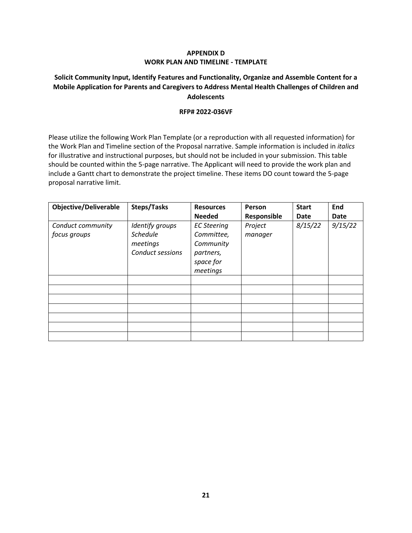#### **APPENDIX D WORK PLAN AND TIMELINE - TEMPLATE**

# **Solicit Community Input, Identify Features and Functionality, Organize and Assemble Content for a Mobile Application for Parents and Caregivers to Address Mental Health Challenges of Children and Adolescents**

#### **RFP# 2022-036VF**

Please utilize the following Work Plan Template (or a reproduction with all requested information) for the Work Plan and Timeline section of the Proposal narrative. Sample information is included in *italics* for illustrative and instructional purposes, but should not be included in your submission. This table should be counted within the 5-page narrative. The Applicant will need to provide the work plan and include a Gantt chart to demonstrate the project timeline. These items DO count toward the 5-page proposal narrative limit.

| <b>Objective/Deliverable</b>      | <b>Steps/Tasks</b>                                                 | <b>Resources</b>                                                                    | Person             | <b>Start</b> | End     |
|-----------------------------------|--------------------------------------------------------------------|-------------------------------------------------------------------------------------|--------------------|--------------|---------|
|                                   |                                                                    | <b>Needed</b>                                                                       | Responsible        | Date         | Date    |
| Conduct community<br>focus groups | Identify groups<br><b>Schedule</b><br>meetings<br>Conduct sessions | <b>EC Steering</b><br>Committee,<br>Community<br>partners,<br>space for<br>meetings | Project<br>manager | 8/15/22      | 9/15/22 |
|                                   |                                                                    |                                                                                     |                    |              |         |
|                                   |                                                                    |                                                                                     |                    |              |         |
|                                   |                                                                    |                                                                                     |                    |              |         |
|                                   |                                                                    |                                                                                     |                    |              |         |
|                                   |                                                                    |                                                                                     |                    |              |         |
|                                   |                                                                    |                                                                                     |                    |              |         |
|                                   |                                                                    |                                                                                     |                    |              |         |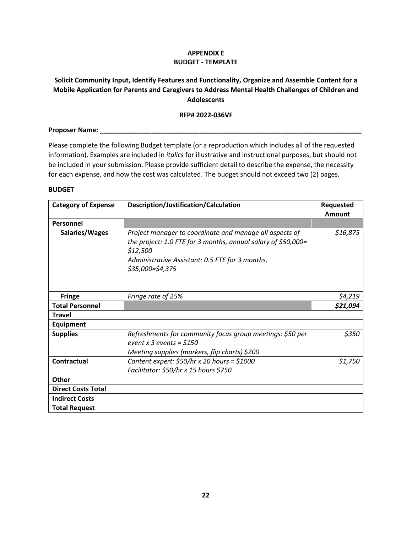#### **APPENDIX E BUDGET - TEMPLATE**

# **Solicit Community Input, Identify Features and Functionality, Organize and Assemble Content for a Mobile Application for Parents and Caregivers to Address Mental Health Challenges of Children and Adolescents**

#### **RFP# 2022-036VF**

# **Proposer Name: \_\_\_\_\_\_\_\_\_\_\_\_\_\_\_\_\_\_\_\_\_\_\_\_\_\_\_\_\_\_\_\_\_\_\_\_\_\_\_\_\_\_\_\_\_\_\_\_\_\_\_\_\_\_\_\_\_\_\_\_\_\_\_\_\_\_\_\_\_\_\_**

Please complete the following Budget template (or a reproduction which includes all of the requested information). Examples are included in *italics* for illustrative and instructional purposes, but should not be included in your submission. Please provide sufficient detail to describe the expense, the necessity for each expense, and how the cost was calculated. The budget should not exceed two (2) pages.

#### **BUDGET**

| <b>Category of Expense</b> | Description/Justification/Calculation                                                                                                                                                                       | Requested<br>Amount |
|----------------------------|-------------------------------------------------------------------------------------------------------------------------------------------------------------------------------------------------------------|---------------------|
| Personnel                  |                                                                                                                                                                                                             |                     |
| Salaries/Wages             | Project manager to coordinate and manage all aspects of<br>the project: 1.0 FTE for 3 months, annual salary of \$50,000=<br>\$12,500<br>Administrative Assistant: 0.5 FTE for 3 months,<br>\$35,000=\$4,375 | \$16,875            |
| <b>Fringe</b>              | Fringe rate of 25%                                                                                                                                                                                          | \$4,219             |
| <b>Total Personnel</b>     |                                                                                                                                                                                                             | \$21,094            |
| <b>Travel</b>              |                                                                                                                                                                                                             |                     |
| <b>Equipment</b>           |                                                                                                                                                                                                             |                     |
| <b>Supplies</b>            | Refreshments for community focus group meetings: \$50 per<br>event x 3 events = $$150$<br>Meeting supplies (markers, flip charts) \$200                                                                     | \$350               |
| Contractual                | Content expert: $$50/hr \times 20$ hours = $$1000$<br>Facilitator: \$50/hr x 15 hours \$750                                                                                                                 | \$1,750             |
| <b>Other</b>               |                                                                                                                                                                                                             |                     |
| <b>Direct Costs Total</b>  |                                                                                                                                                                                                             |                     |
| <b>Indirect Costs</b>      |                                                                                                                                                                                                             |                     |
| <b>Total Request</b>       |                                                                                                                                                                                                             |                     |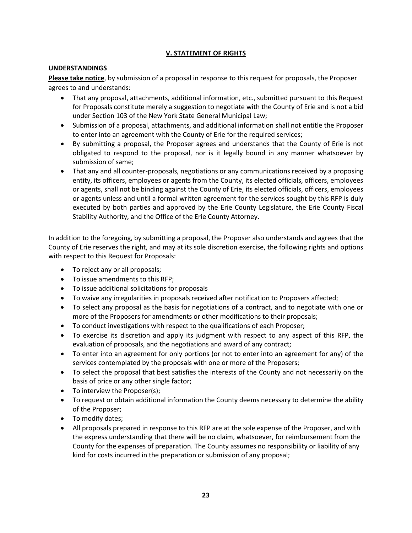# **V. STATEMENT OF RIGHTS**

#### **UNDERSTANDINGS**

**Please take notice**, by submission of a proposal in response to this request for proposals, the Proposer agrees to and understands:

- That any proposal, attachments, additional information, etc., submitted pursuant to this Request for Proposals constitute merely a suggestion to negotiate with the County of Erie and is not a bid under Section 103 of the New York State General Municipal Law;
- Submission of a proposal, attachments, and additional information shall not entitle the Proposer to enter into an agreement with the County of Erie for the required services;
- By submitting a proposal, the Proposer agrees and understands that the County of Erie is not obligated to respond to the proposal, nor is it legally bound in any manner whatsoever by submission of same;
- That any and all counter-proposals, negotiations or any communications received by a proposing entity, its officers, employees or agents from the County, its elected officials, officers, employees or agents, shall not be binding against the County of Erie, its elected officials, officers, employees or agents unless and until a formal written agreement for the services sought by this RFP is duly executed by both parties and approved by the Erie County Legislature, the Erie County Fiscal Stability Authority, and the Office of the Erie County Attorney.

In addition to the foregoing, by submitting a proposal, the Proposer also understands and agrees that the County of Erie reserves the right, and may at its sole discretion exercise, the following rights and options with respect to this Request for Proposals:

- To reject any or all proposals;
- To issue amendments to this RFP;
- To issue additional solicitations for proposals
- To waive any irregularities in proposals received after notification to Proposers affected;
- To select any proposal as the basis for negotiations of a contract, and to negotiate with one or more of the Proposers for amendments or other modifications to their proposals;
- To conduct investigations with respect to the qualifications of each Proposer;
- To exercise its discretion and apply its judgment with respect to any aspect of this RFP, the evaluation of proposals, and the negotiations and award of any contract;
- To enter into an agreement for only portions (or not to enter into an agreement for any) of the services contemplated by the proposals with one or more of the Proposers;
- To select the proposal that best satisfies the interests of the County and not necessarily on the basis of price or any other single factor;
- To interview the Proposer(s);
- To request or obtain additional information the County deems necessary to determine the ability of the Proposer;
- To modify dates;
- All proposals prepared in response to this RFP are at the sole expense of the Proposer, and with the express understanding that there will be no claim, whatsoever, for reimbursement from the County for the expenses of preparation. The County assumes no responsibility or liability of any kind for costs incurred in the preparation or submission of any proposal;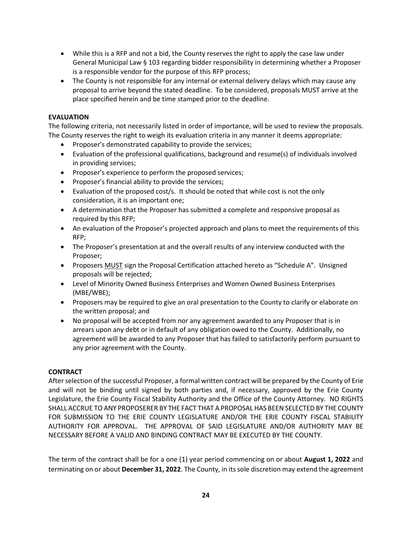- While this is a RFP and not a bid, the County reserves the right to apply the case law under General Municipal Law § 103 regarding bidder responsibility in determining whether a Proposer is a responsible vendor for the purpose of this RFP process;
- The County is not responsible for any internal or external delivery delays which may cause any proposal to arrive beyond the stated deadline. To be considered, proposals MUST arrive at the place specified herein and be time stamped prior to the deadline.

#### **EVALUATION**

The following criteria, not necessarily listed in order of importance, will be used to review the proposals. The County reserves the right to weigh its evaluation criteria in any manner it deems appropriate:

- Proposer's demonstrated capability to provide the services;
- Evaluation of the professional qualifications, background and resume(s) of individuals involved in providing services;
- Proposer's experience to perform the proposed services;
- Proposer's financial ability to provide the services;
- Evaluation of the proposed cost/s. It should be noted that while cost is not the only consideration, it is an important one;
- A determination that the Proposer has submitted a complete and responsive proposal as required by this RFP;
- An evaluation of the Proposer's projected approach and plans to meet the requirements of this RFP;
- The Proposer's presentation at and the overall results of any interview conducted with the Proposer;
- Proposers MUST sign the Proposal Certification attached hereto as "Schedule A". Unsigned proposals will be rejected;
- Level of Minority Owned Business Enterprises and Women Owned Business Enterprises (MBE/WBE);
- Proposers may be required to give an oral presentation to the County to clarify or elaborate on the written proposal; and
- No proposal will be accepted from nor any agreement awarded to any Proposer that is in arrears upon any debt or in default of any obligation owed to the County. Additionally, no agreement will be awarded to any Proposer that has failed to satisfactorily perform pursuant to any prior agreement with the County.

# **CONTRACT**

After selection of the successful Proposer, a formal written contract will be prepared by the County of Erie and will not be binding until signed by both parties and, if necessary, approved by the Erie County Legislature, the Erie County Fiscal Stability Authority and the Office of the County Attorney. NO RIGHTS SHALL ACCRUE TO ANY PROPOSERER BY THE FACT THAT A PROPOSAL HAS BEEN SELECTED BY THE COUNTY FOR SUBMISSION TO THE ERIE COUNTY LEGISLATURE AND/OR THE ERIE COUNTY FISCAL STABILITY AUTHORITY FOR APPROVAL. THE APPROVAL OF SAID LEGISLATURE AND/OR AUTHORITY MAY BE NECESSARY BEFORE A VALID AND BINDING CONTRACT MAY BE EXECUTED BY THE COUNTY.

The term of the contract shall be for a one (1) year period commencing on or about **August 1, 2022** and terminating on or about **December 31, 2022**. The County, in its sole discretion may extend the agreement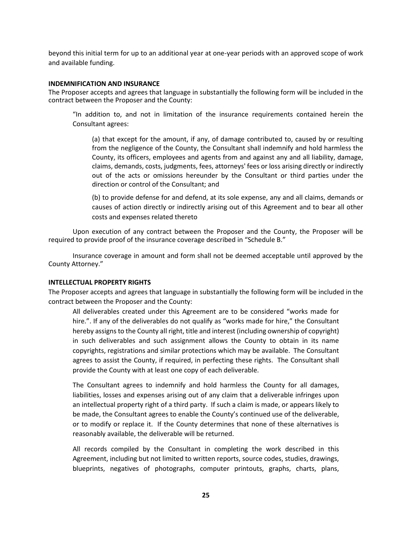beyond this initial term for up to an additional year at one-year periods with an approved scope of work and available funding.

#### **INDEMNIFICATION AND INSURANCE**

The Proposer accepts and agrees that language in substantially the following form will be included in the contract between the Proposer and the County:

"In addition to, and not in limitation of the insurance requirements contained herein the Consultant agrees:

(a) that except for the amount, if any, of damage contributed to, caused by or resulting from the negligence of the County, the Consultant shall indemnify and hold harmless the County, its officers, employees and agents from and against any and all liability, damage, claims, demands, costs, judgments, fees, attorneys' fees or loss arising directly or indirectly out of the acts or omissions hereunder by the Consultant or third parties under the direction or control of the Consultant; and

(b) to provide defense for and defend, at its sole expense, any and all claims, demands or causes of action directly or indirectly arising out of this Agreement and to bear all other costs and expenses related thereto

Upon execution of any contract between the Proposer and the County, the Proposer will be required to provide proof of the insurance coverage described in "Schedule B."

Insurance coverage in amount and form shall not be deemed acceptable until approved by the County Attorney."

#### **INTELLECTUAL PROPERTY RIGHTS**

The Proposer accepts and agrees that language in substantially the following form will be included in the contract between the Proposer and the County:

All deliverables created under this Agreement are to be considered "works made for hire.". If any of the deliverables do not qualify as "works made for hire," the Consultant hereby assigns to the County all right, title and interest (including ownership of copyright) in such deliverables and such assignment allows the County to obtain in its name copyrights, registrations and similar protections which may be available. The Consultant agrees to assist the County, if required, in perfecting these rights. The Consultant shall provide the County with at least one copy of each deliverable.

The Consultant agrees to indemnify and hold harmless the County for all damages, liabilities, losses and expenses arising out of any claim that a deliverable infringes upon an intellectual property right of a third party. If such a claim is made, or appears likely to be made, the Consultant agrees to enable the County's continued use of the deliverable, or to modify or replace it. If the County determines that none of these alternatives is reasonably available, the deliverable will be returned.

All records compiled by the Consultant in completing the work described in this Agreement, including but not limited to written reports, source codes, studies, drawings, blueprints, negatives of photographs, computer printouts, graphs, charts, plans,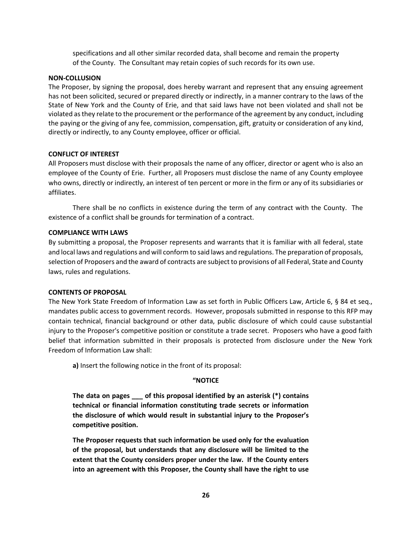specifications and all other similar recorded data, shall become and remain the property of the County. The Consultant may retain copies of such records for its own use.

#### **NON-COLLUSION**

The Proposer, by signing the proposal, does hereby warrant and represent that any ensuing agreement has not been solicited, secured or prepared directly or indirectly, in a manner contrary to the laws of the State of New York and the County of Erie, and that said laws have not been violated and shall not be violated as they relate to the procurement or the performance of the agreement by any conduct, including the paying or the giving of any fee, commission, compensation, gift, gratuity or consideration of any kind, directly or indirectly, to any County employee, officer or official.

#### **CONFLICT OF INTEREST**

All Proposers must disclose with their proposals the name of any officer, director or agent who is also an employee of the County of Erie. Further, all Proposers must disclose the name of any County employee who owns, directly or indirectly, an interest of ten percent or more in the firm or any of its subsidiaries or affiliates.

There shall be no conflicts in existence during the term of any contract with the County. The existence of a conflict shall be grounds for termination of a contract.

#### **COMPLIANCE WITH LAWS**

By submitting a proposal, the Proposer represents and warrants that it is familiar with all federal, state and local laws and regulations and will conform to said laws and regulations. The preparation of proposals, selection of Proposers and the award of contracts are subject to provisions of all Federal, State and County laws, rules and regulations.

#### **CONTENTS OF PROPOSAL**

The New York State Freedom of Information Law as set forth in Public Officers Law, Article 6, § 84 et seq., mandates public access to government records. However, proposals submitted in response to this RFP may contain technical, financial background or other data, public disclosure of which could cause substantial injury to the Proposer's competitive position or constitute a trade secret. Proposers who have a good faith belief that information submitted in their proposals is protected from disclosure under the New York Freedom of Information Law shall:

**a)** Insert the following notice in the front of its proposal:

#### **"NOTICE**

**The data on pages \_\_\_ of this proposal identified by an asterisk (\*) contains technical or financial information constituting trade secrets or information the disclosure of which would result in substantial injury to the Proposer's competitive position.**

**The Proposer requests that such information be used only for the evaluation of the proposal, but understands that any disclosure will be limited to the extent that the County considers proper under the law. If the County enters into an agreement with this Proposer, the County shall have the right to use**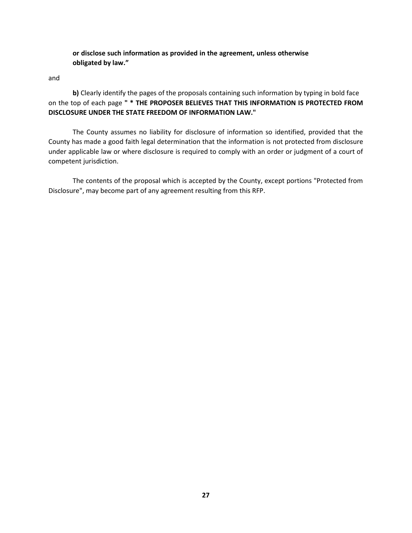**or disclose such information as provided in the agreement, unless otherwise obligated by law."**

and

**b)** Clearly identify the pages of the proposals containing such information by typing in bold face on the top of each page **" \* THE PROPOSER BELIEVES THAT THIS INFORMATION IS PROTECTED FROM DISCLOSURE UNDER THE STATE FREEDOM OF INFORMATION LAW."**

The County assumes no liability for disclosure of information so identified, provided that the County has made a good faith legal determination that the information is not protected from disclosure under applicable law or where disclosure is required to comply with an order or judgment of a court of competent jurisdiction.

The contents of the proposal which is accepted by the County, except portions "Protected from Disclosure", may become part of any agreement resulting from this RFP.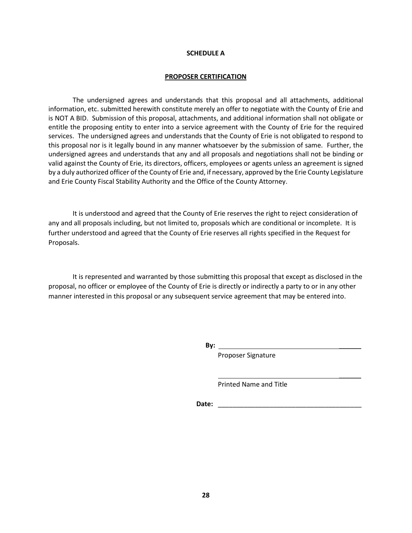#### **SCHEDULE A**

#### **PROPOSER CERTIFICATION**

The undersigned agrees and understands that this proposal and all attachments, additional information, etc. submitted herewith constitute merely an offer to negotiate with the County of Erie and is NOT A BID. Submission of this proposal, attachments, and additional information shall not obligate or entitle the proposing entity to enter into a service agreement with the County of Erie for the required services. The undersigned agrees and understands that the County of Erie is not obligated to respond to this proposal nor is it legally bound in any manner whatsoever by the submission of same. Further, the undersigned agrees and understands that any and all proposals and negotiations shall not be binding or valid against the County of Erie, its directors, officers, employees or agents unless an agreement is signed by a duly authorized officer of the County of Erie and, if necessary, approved by the Erie County Legislature and Erie County Fiscal Stability Authority and the Office of the County Attorney.

It is understood and agreed that the County of Erie reserves the right to reject consideration of any and all proposals including, but not limited to, proposals which are conditional or incomplete. It is further understood and agreed that the County of Erie reserves all rights specified in the Request for Proposals.

It is represented and warranted by those submitting this proposal that except as disclosed in the proposal, no officer or employee of the County of Erie is directly or indirectly a party to or in any other manner interested in this proposal or any subsequent service agreement that may be entered into.

 **By:** \_\_\_\_\_\_

Proposer Signature

Printed Name and Title

**Date:**  $\blacksquare$ 

 $\overline{\phantom{a}}$